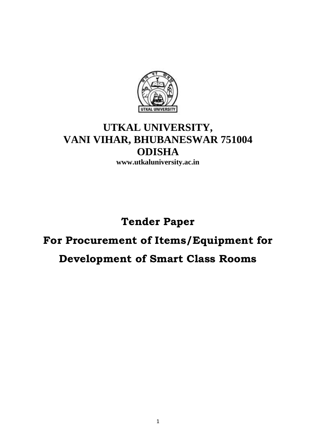

## **UTKAL UNIVERSITY, VANI VIHAR, BHUBANESWAR 751004 ODISHA**

**www.utkaluniversity.ac.in** 

# **Tender Paper**

# **For Procurement of Items/Equipment for**

### **Development of Smart Class Rooms**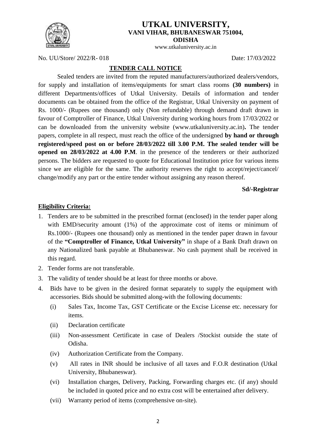

#### **UTKAL UNIVERSITY, VANI VIHAR, BHUBANESWAR 751004, ODISHA**

www.utkaluniversity.ac.in

No. UU/Store/ 2022/R- 018 Date: 17/03/2022

#### **TENDER CALL NOTICE**

Sealed tenders are invited from the reputed manufacturers/authorized dealers/vendors, for supply and installation of items/equipments for smart class rooms **(30 numbers)** in different Departments/offices of Utkal University. Details of information and tender documents can be obtained from the office of the Registrar, Utkal University on payment of Rs. 1000/- (Rupees one thousand) only (Non refundable) through demand draft drawn in favour of Comptroller of Finance, Utkal University during working hours from 17/03/2022 or can be downloaded from the university website (www.utkaluniversity.ac.in)**.** The tender papers, complete in all respect, must reach the office of the undersigned **by hand or through registered/speed post on or before 28/03/2022 till 3.00 P.M. The sealed tender will be opened on 28/03/2022 at 4.00 P.M**. in the presence of the tenderers or their authorized persons. The bidders are requested to quote for Educational Institution price for various items since we are eligible for the same. The authority reserves the right to accept/reject/cancel/ change/modify any part or the entire tender without assigning any reason thereof.

#### **Sd/-Registrar**

#### **Eligibility Criteria:**

- 1. Tenders are to be submitted in the prescribed format (enclosed) in the tender paper along with EMD/security amount (1%) of the approximate cost of items or minimum of Rs.1000/- (Rupees one thousand) only as mentioned in the tender paper drawn in favour of the **"Comptroller of Finance, Utkal University"** in shape of a Bank Draft drawn on any Nationalized bank payable at Bhubaneswar. No cash payment shall be received in this regard.
- 2. Tender forms are not transferable.
- 3. The validity of tender should be at least for three months or above.
- 4. Bids have to be given in the desired format separately to supply the equipment with accessories. Bids should be submitted along-with the following documents:
	- (i) Sales Tax, Income Tax, GST Certificate or the Excise License etc. necessary for items.
	- (ii) Declaration certificate
	- (iii) Non-assessment Certificate in case of Dealers /Stockist outside the state of Odisha.
	- (iv) Authorization Certificate from the Company.
	- (v) All rates in INR should be inclusive of all taxes and F.O.R destination (Utkal University, Bhubaneswar).
	- (vi) Installation charges, Delivery, Packing, Forwarding charges etc. (if any) should be included in quoted price and no extra cost will be entertained after delivery.
	- (vii) Warranty period of items (comprehensive on-site).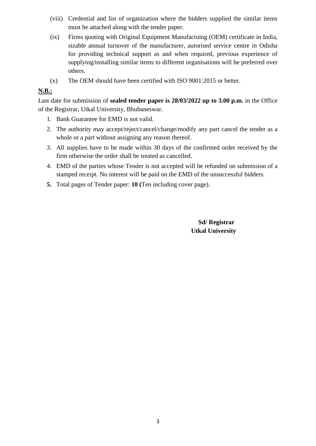- (viii) Credential and list of organization where the bidders supplied the similar items must be attached along with the tender paper.
- (ix) Firms quoting with Original Equipment Manufactuing (OEM) certificate in India, sizable annual turnover of the manufacturer, autorised service centre in Odisha for providing technical support as and when required, previous experience of supplying/installing similar items to different organisations will be preferred over others.
- (x) The OEM should have been certified with ISO 9001:2015 or better.

#### **N.B.:**

Last date for submission of **sealed tender paper is 28/03/2022 up to 3.00 p.m.** in the Office of the Registrar, Utkal University, Bhubaneswar.

- 1. Bank Guarantee for EMD is not valid.
- 2. The authority may accept/reject/cancel/change/modify any part cancel the tender as a whole or a part without assigning any reason thereof.
- 3. All supplies have to be made within 30 days of the confirmed order received by the firm otherwise the order shall be treated as cancelled.
- 4. EMD of the parties whose Tender is not accepted will be refunded on submission of a stamped receipt. No interest will be paid on the EMD of the unsuccessful bidders.
- **5.** Total pages of Tender paper: **10 (**Ten including cover page).

 **Sd/ Registrar Utkal University**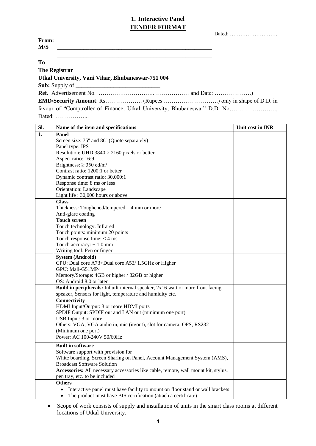#### **1. Interactive Panel TENDER FORMAT**

|                                                                           | Dated: |
|---------------------------------------------------------------------------|--------|
| From:                                                                     |        |
| M/S                                                                       |        |
|                                                                           |        |
| T <sub>0</sub>                                                            |        |
| <b>The Registrar</b>                                                      |        |
| Utkal University, Vani Vihar, Bhubaneswar-751 004                         |        |
|                                                                           |        |
|                                                                           |        |
|                                                                           |        |
| favour of "Comptroller of Finance, Utkal University, Bhubaneswar" D.D. No |        |

Dated: ……………...

| Sl. | Name of the item and specifications                                                   | Unit cost in INR |
|-----|---------------------------------------------------------------------------------------|------------------|
| 1.  | Panel                                                                                 |                  |
|     | Screen size: 75" and 86" (Quote separately)                                           |                  |
|     | Panel type: IPS                                                                       |                  |
|     | Resolution: UHD $3840 \times 2160$ pixels or better                                   |                  |
|     | Aspect ratio: 16:9                                                                    |                  |
|     | Brightness: $\geq$ 350 cd/m <sup>2</sup>                                              |                  |
|     | Contrast ratio: 1200:1 or better                                                      |                  |
|     | Dynamic contrast ratio: 30,000:1                                                      |                  |
|     | Response time: 8 ms or less                                                           |                  |
|     | Orientation: Landscape                                                                |                  |
|     | Light life: 30,000 hours or above                                                     |                  |
|     | <b>Glass</b>                                                                          |                  |
|     | Thickness: Toughened/tempered $-4$ mm or more                                         |                  |
|     | Anti-glare coating                                                                    |                  |
|     | <b>Touch screen</b>                                                                   |                  |
|     | Touch technology: Infrared                                                            |                  |
|     | Touch points: minimum 20 points                                                       |                  |
|     | Touch response time: $<$ 4 ms                                                         |                  |
|     | Touch accuracy: $\pm$ 1.0 mm                                                          |                  |
|     | Writing tool: Pen or finger                                                           |                  |
|     | <b>System (Android)</b>                                                               |                  |
|     | CPU: Dual core A73+Dual core A53/ 1.5GHz or Higher                                    |                  |
|     | GPU: Mali-G51MP4                                                                      |                  |
|     | Memory/Storage: 4GB or higher / 32GB or higher                                        |                  |
|     | OS: Android 8.0 or later                                                              |                  |
|     | <b>Build in peripherals:</b> Inbuilt internal speaker, 2x16 watt or more front facing |                  |
|     | speaker, Sensors for light, temperature and humidity etc.                             |                  |
|     | Connectivity                                                                          |                  |
|     | HDMI Input/Output: 3 or more HDMI ports                                               |                  |
|     | SPDIF Output: SPDIF out and LAN out (minimum one port)                                |                  |
|     | USB Input: 3 or more                                                                  |                  |
|     | Others: VGA, VGA audio in, mic (in/out), slot for camera, OPS, RS232                  |                  |
|     | (Minimum one port)                                                                    |                  |
|     | Power: AC 100-240V 50/60Hz                                                            |                  |
|     | <b>Built in software</b>                                                              |                  |
|     | Software support with provision for                                                   |                  |
|     | White boarding, Screen Sharing on Panel, Account Management System (AMS),             |                  |
|     | <b>Broadcast Software Solution</b>                                                    |                  |
|     | Accessories: All necessary accessories like cable, remote, wall mount kit, stylus,    |                  |
|     | pen tray, etc. to be included                                                         |                  |
|     | <b>Others</b>                                                                         |                  |
|     | Interactive panel must have facility to mount on floor stand or wall brackets         |                  |
|     | The product must have BIS certification (attach a certificate)<br>$\bullet$           |                  |

 Scope of work consists of supply and installation of units in the smart class rooms at different locations of Utkal University.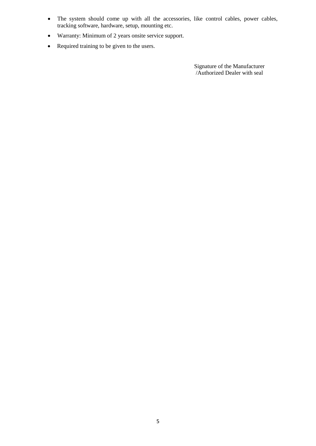- The system should come up with all the accessories, like control cables, power cables, tracking software, hardware, setup, mounting etc.
- Warranty: Minimum of 2 years onsite service support.
- Required training to be given to the users.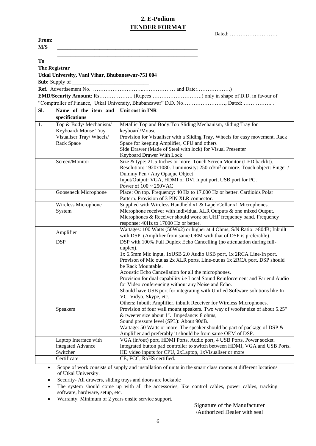#### **2. E-Podium TENDER FORMAT**

|                      |                                                   | Dated:                                                                                                                                           |
|----------------------|---------------------------------------------------|--------------------------------------------------------------------------------------------------------------------------------------------------|
| From:                |                                                   |                                                                                                                                                  |
| M/S                  |                                                   |                                                                                                                                                  |
|                      |                                                   |                                                                                                                                                  |
| To                   |                                                   |                                                                                                                                                  |
| <b>The Registrar</b> |                                                   |                                                                                                                                                  |
|                      | Utkal University, Vani Vihar, Bhubaneswar-751 004 |                                                                                                                                                  |
|                      | Sub: Supply of                                    |                                                                                                                                                  |
|                      |                                                   |                                                                                                                                                  |
|                      |                                                   |                                                                                                                                                  |
|                      |                                                   |                                                                                                                                                  |
| Sl.                  | Name of the item and                              | Unit cost in INR                                                                                                                                 |
|                      | specifications                                    |                                                                                                                                                  |
| $\overline{1}$ .     | Top & Body/Mechanism/                             | Metallic Top and Body. Top Sliding Mechanism, sliding Tray for                                                                                   |
|                      | Keyboard/ Mouse Tray                              | keyboard/Mouse                                                                                                                                   |
|                      | Visualiser Tray/Wheels/                           | Provision for Visualiser with a Sliding Tray. Wheels for easy movement. Rack                                                                     |
|                      | Rack Space                                        | Space for keeping Amplifier, CPU and others                                                                                                      |
|                      |                                                   | Side Drawer (Made of Steel with lock) for Visual Presenter<br>Keyboard Drawer With Lock                                                          |
|                      | Screen/Monitor                                    | Size & type: 21.5 Inches or more. Touch Screen Monitor (LED backlit).                                                                            |
|                      |                                                   | Resolution: 1920x1080. Luminosity: 250 cd/m <sup>2</sup> or more. Touch object: Finger /                                                         |
|                      |                                                   | Dummy Pen / Any Opaque Object                                                                                                                    |
|                      |                                                   | Input/Output: VGA, HDMI or DVI Input port, USB port for PC.                                                                                      |
|                      |                                                   | Power of $100 \sim 250$ VAC                                                                                                                      |
|                      | Gooseneck Microphone                              | Place: On top. Frequency: 40 Hz to 17,000 Hz or better. Cardioids Polar                                                                          |
|                      |                                                   | Pattern. Provision of 3 PIN XLR connector.                                                                                                       |
|                      | Wireless Microphone<br>System                     | Supplied with Wireless Handheld x1 & Lapel/Collar x1 Microphones.<br>Microphone receiver with individual XLR Outputs & one mixed Output.         |
|                      |                                                   | Microphones & Receiver should work on UHF frequency band. Frequency                                                                              |
|                      |                                                   | response: 40Hz to 17000 Hz or better.                                                                                                            |
|                      | Amplifier                                         | Wattages: 100 Watts (50Wx2) or higher at 4 Ohms; S/N Ratio: >80dB; Inbuilt                                                                       |
|                      |                                                   | with DSP. (Amplifier from same OEM with that of DSP is preferable).                                                                              |
|                      | <b>DSP</b>                                        | DSP with 100% Full Duplex Echo Cancelling (no attenuation during full-                                                                           |
|                      |                                                   | duplex).                                                                                                                                         |
|                      |                                                   | 1x 6.5mm Mic input, 1xUSB 2.0 Audio USB port, 1x 2RCA Line-In port.<br>Provison of Mic out as 2x XLR ports, Line-out as 1x 2RCA port. DSP should |
|                      |                                                   | be Rack Mountable.                                                                                                                               |
|                      |                                                   | Acoustic Echo Cancellation for all the microphones.                                                                                              |
|                      |                                                   | Provision for dual capability i.e Local Sound Reinforcement and Far end Audio                                                                    |
|                      |                                                   | for Video conferencing without any Noise and Echo.                                                                                               |
|                      |                                                   | Should have USB port for integrating with Unified Software solutions like In                                                                     |
|                      |                                                   | VC, Vidyo, Skype, etc.<br>Others: Inbuilt Amplifier, inbuilt Receiver for Wireless Microphones.                                                  |
|                      | Speakers                                          | Provision of four wall mount speakers. Two way of woofer size of about 5.25"                                                                     |
|                      |                                                   | & tweeter size about 1". Impedance: 8 ohms,                                                                                                      |
|                      |                                                   | Sound pressure level (SPL): About 90dB.                                                                                                          |
|                      |                                                   | Wattage: 50 Watts or more. The speaker should be part of package of DSP &                                                                        |
|                      |                                                   | Amplifier and preferably it should be from same OEM of DSP.                                                                                      |
|                      | Laptop Interface with                             | VGA (in/out) port, HDMI Ports, Audio port, 4 USB Ports, Power socket.                                                                            |
|                      | integated Advance                                 | Integrated button pad controller to switch between HDMI, VGA and USB Ports.                                                                      |
|                      | Switcher<br>Certificate                           | HD video inputs for CPU, 2xLaptop, 1xVisualiser or more<br>CE, FCC, RoHS certified.                                                              |
|                      |                                                   |                                                                                                                                                  |

 Scope of work consists of supply and installation of units in the smart class rooms at different locations of Utkal University.

Security- All drawers, sliding trays and doors are lockable

- The system should come up with all the accessories, like control cables, power cables, tracking software, hardware, setup, etc.
- Warranty: Minimum of 2 years onsite service support.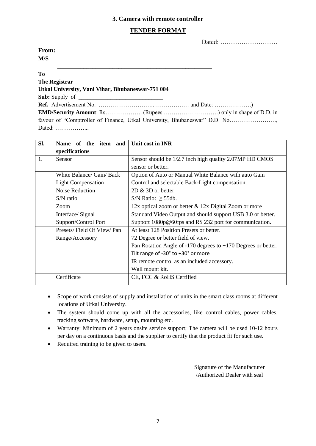#### **3. Camera with remote controller**

#### **TENDER FORMAT**

|                                                                                                                     | Dated: $\dots\dots\dots\dots\dots\dots\dots\dots\dots\dots$ |
|---------------------------------------------------------------------------------------------------------------------|-------------------------------------------------------------|
| From:                                                                                                               |                                                             |
| M/S<br><u> 1980 - Jan Barbara, martxa al II-lea (h. 1980).</u><br>1900 - Paul Barbara, política española (h. 1900). |                                                             |
| T <sub>0</sub>                                                                                                      |                                                             |
| <b>The Registrar</b>                                                                                                |                                                             |
| Utkal University, Vani Vihar, Bhubaneswar-751 004                                                                   |                                                             |
| <b>Sub:</b> Supply of $\qquad$                                                                                      |                                                             |
|                                                                                                                     |                                                             |
|                                                                                                                     |                                                             |
| favour of "Comptroller of Finance, Utkal University, Bhubaneswar" D.D. No                                           |                                                             |
| Dated: $\dots\dots\dots\dots\dots\dots$                                                                             |                                                             |

| Sl. | Name of the item and      | Unit cost in INR                                                  |  |  |  |
|-----|---------------------------|-------------------------------------------------------------------|--|--|--|
|     | specifications            |                                                                   |  |  |  |
| 1.  | Sensor                    | Sensor should be 1/2.7 inch high quality 2.07MP HD CMOS           |  |  |  |
|     |                           | sensor or better.                                                 |  |  |  |
|     | White Balance/ Gain/ Back | Option of Auto or Manual White Balance with auto Gain             |  |  |  |
|     | <b>Light Compensation</b> | Control and selectable Back-Light compensation.                   |  |  |  |
|     | Noise Reduction           | $2D \& 3D$ or better                                              |  |  |  |
|     | $S/N$ ratio               | S/N Ratio: $\geq$ 55db.                                           |  |  |  |
|     | Zoom                      | 12x optical zoom or better & 12x Digital Zoom or more             |  |  |  |
|     | Interface/Signal          | Standard Video Output and should support USB 3.0 or better.       |  |  |  |
|     | Support/Control Port      | Support 1080p@60fps and RS 232 port for communication.            |  |  |  |
|     | Presets/Field Of View/Pan | At least 128 Position Presets or better.                          |  |  |  |
|     | Range/Accessory           | 72 Degree or better field of view.                                |  |  |  |
|     |                           | Pan Rotation Angle of $-170$ degrees to $+170$ Degrees or better. |  |  |  |
|     |                           | Tilt range of -30° to +30° or more                                |  |  |  |
|     |                           | IR remote control as an included accessory.                       |  |  |  |
|     |                           | Wall mount kit.                                                   |  |  |  |
|     | Certificate               | CE, FCC & RoHS Certified                                          |  |  |  |

- Scope of work consists of supply and installation of units in the smart class rooms at different locations of Utkal University.
- The system should come up with all the accessories, like control cables, power cables, tracking software, hardware, setup, mounting etc.
- Warranty: Minimum of 2 years onsite service support; The camera will be used 10-12 hours per day on a continuous basis and the supplier to certify that the product fit for such use.
- Required training to be given to users.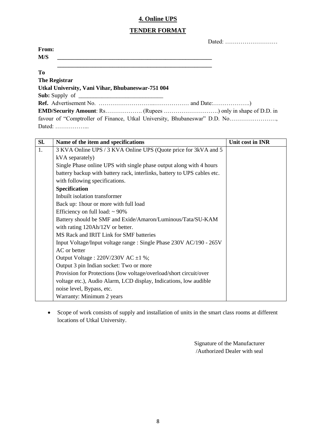#### **4. Online UPS**

#### **TENDER FORMAT**

| From:                                                                     |  |
|---------------------------------------------------------------------------|--|
| M/S                                                                       |  |
| T <sub>0</sub>                                                            |  |
| <b>The Registrar</b>                                                      |  |
| Utkal University, Vani Vihar, Bhubaneswar-751 004                         |  |
|                                                                           |  |
|                                                                           |  |
|                                                                           |  |
| favour of "Comptroller of Finance, Utkal University, Bhubaneswar" D.D. No |  |
| Dated:                                                                    |  |

| SI. | Name of the item and specifications                                      | Unit cost in INR |
|-----|--------------------------------------------------------------------------|------------------|
| 1.  | 3 KVA Online UPS / 3 KVA Online UPS (Quote price for 3kVA and 5          |                  |
|     | kVA separately)                                                          |                  |
|     | Single Phase online UPS with single phase output along with 4 hours      |                  |
|     | battery backup with battery rack, interlinks, battery to UPS cables etc. |                  |
|     | with following specifications.                                           |                  |
|     | Specification                                                            |                  |
|     | Inbuilt isolation transformer                                            |                  |
|     | Back up: 1hour or more with full load                                    |                  |
|     | Efficiency on full load: $\sim$ 90%                                      |                  |
|     | Battery should be SMF and Exide/Amaron/Luminous/Tata/SU-KAM              |                  |
|     | with rating 120Ah/12V or better.                                         |                  |
|     | MS Rack and IRIT Link for SMF batteries                                  |                  |
|     | Input Voltage/Input voltage range : Single Phase 230V AC/190 - 265V      |                  |
|     | AC or better                                                             |                  |
|     | Output Voltage : $220V/230V$ AC $\pm 1\%$ ;                              |                  |
|     | Output 3 pin Indian socket: Two or more                                  |                  |
|     | Provision for Protections (low voltage/overload/short circuit/over       |                  |
|     | voltage etc.), Audio Alarm, LCD display, Indications, low audible        |                  |
|     | noise level, Bypass, etc.                                                |                  |
|     | Warranty: Minimum 2 years                                                |                  |

 Scope of work consists of supply and installation of units in the smart class rooms at different locations of Utkal University.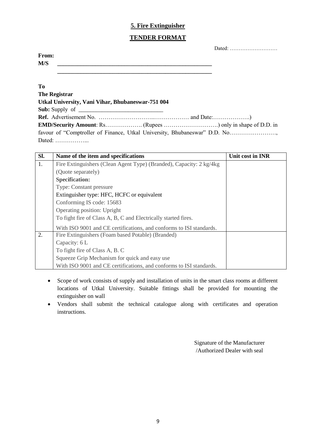#### **5. Fire Extinguisher**

#### **TENDER FORMAT**

|--|--|--|--|--|--|--|--|--|--|--|

| From: |  |  |
|-------|--|--|
| M/S   |  |  |
|       |  |  |

#### **To**

| The Registrar                                     |                                                                           |
|---------------------------------------------------|---------------------------------------------------------------------------|
| Utkal University, Vani Vihar, Bhubaneswar-751 004 |                                                                           |
|                                                   |                                                                           |
|                                                   |                                                                           |
|                                                   |                                                                           |
|                                                   | favour of "Comptroller of Finance, Utkal University, Bhubaneswar" D.D. No |
| Dated: $\dots\dots\dots\dots\dots\dots$           |                                                                           |

| Sl. | Name of the item and specifications                                 | Unit cost in INR |
|-----|---------------------------------------------------------------------|------------------|
| 1.  | Fire Extinguishers (Clean Agent Type) (Branded), Capacity: 2 kg/4kg |                  |
|     | (Quote separately)                                                  |                  |
|     | <b>Specification:</b>                                               |                  |
|     | <b>Type: Constant pressure</b>                                      |                  |
|     | Extinguisher type: HFC, HCFC or equivalent                          |                  |
|     | Conforming IS code: 15683                                           |                  |
|     | Operating position: Upright                                         |                  |
|     | To fight fire of Class A, B, C and Electrically started fires.      |                  |
|     | With ISO 9001 and CE certifications, and conforms to ISI standards. |                  |
| 2.  | Fire Extinguishers (Foam based Potable) (Branded)                   |                  |
|     | Capacity: 6 L                                                       |                  |
|     | To fight fire of Class A, B. C                                      |                  |
|     | Squeeze Grip Mechanism for quick and easy use                       |                  |
|     | With ISO 9001 and CE certifications, and conforms to ISI standards. |                  |

- Scope of work consists of supply and installation of units in the smart class rooms at different locations of Utkal University. Suitable fittings shall be provided for mounting the extinguisher on wall
- Vendors shall submit the technical catalogue along with certificates and operation instructions.